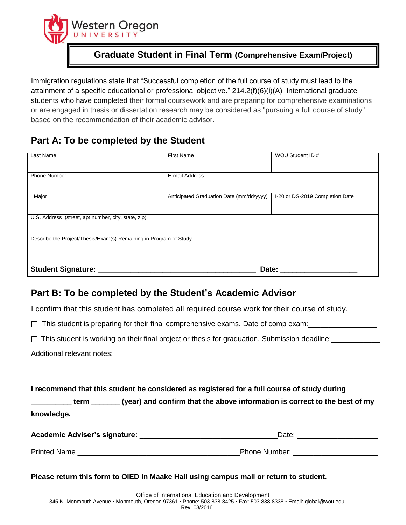

## **Graduate Student in Final Term (Comprehensive Exam/Project)**

Immigration regulations state that "Successful completion of the full course of study must lead to the attainment of a specific educational or professional objective." 214.2(f)(6)(i)(A)International graduate students who have completed their formal coursework and are preparing for comprehensive examinations or are engaged in thesis or dissertation research may be considered as "pursuing a full course of study" based on the recommendation of their academic advisor.

## **Part A: To be completed by the Student**

| Last Name                                                         | <b>First Name</b>                        | WOU Student ID #                |  |
|-------------------------------------------------------------------|------------------------------------------|---------------------------------|--|
| <b>Phone Number</b>                                               | E-mail Address                           |                                 |  |
| Major                                                             | Anticipated Graduation Date (mm/dd/yyyy) | I-20 or DS-2019 Completion Date |  |
| U.S. Address (street, apt number, city, state, zip)               |                                          |                                 |  |
| Describe the Project/Thesis/Exam(s) Remaining in Program of Study |                                          |                                 |  |
| <b>Student Signature:</b><br>Date:                                |                                          |                                 |  |

## **Part B: To be completed by the Student's Academic Advisor**

I confirm that this student has completed all required course work for their course of study.

 $\Box$  This student is preparing for their final comprehensive exams. Date of comp exam:

□ This student is working on their final project or thesis for graduation. Submission deadline:

Additional relevant notes:

**I recommend that this student be considered as registered for a full course of study during** 

**\_\_\_\_\_\_\_\_\_\_ term \_\_\_\_\_\_\_ (year) and confirm that the above information is correct to the best of my knowledge.** 

\_\_\_\_\_\_\_\_\_\_\_\_\_\_\_\_\_\_\_\_\_\_\_\_\_\_\_\_\_\_\_\_\_\_\_\_\_\_\_\_\_\_\_\_\_\_\_\_\_\_\_\_\_\_\_\_\_\_\_\_\_\_\_\_\_\_\_\_\_\_\_\_\_\_\_\_\_\_\_\_\_\_\_\_\_\_\_\_\_\_\_\_\_\_

| Academic Adviser's signature: | Date                 |  |
|-------------------------------|----------------------|--|
|                               |                      |  |
| <b>Printed Name</b>           | <b>Phone Number:</b> |  |

**Please return this form to OIED in Maake Hall using campus mail or return to student.**